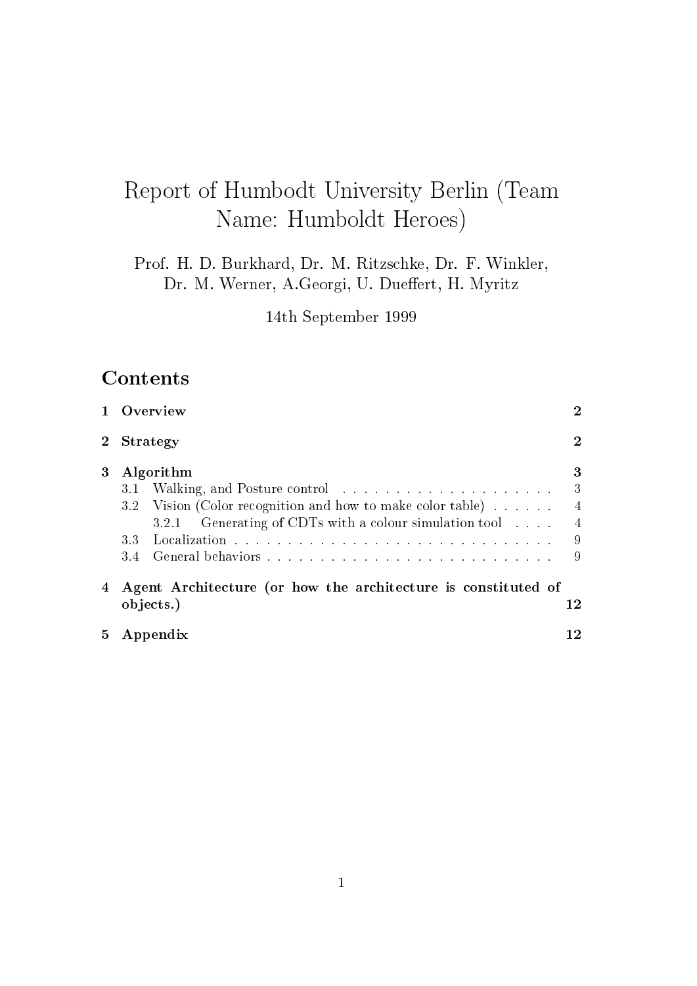# Report of Humbodt University Berlin (Team Name: Humboldt Heroes)

Prof. H. D. Burkhard, Dr. M. Ritzschke, Dr. F. Winkler, Dr. M. Werner, A. Georgi, U. Dueffert, H. Myritz

 $14\mathrm{th}$  September 1999

## Contents

|                | 1 Overview                                                                 | $\bf{2}$       |
|----------------|----------------------------------------------------------------------------|----------------|
| $\overline{2}$ | Strategy                                                                   | $\mathbf 2$    |
| 3              | Algorithm                                                                  | 3              |
|                | 3.1 Walking, and Posture control                                           | 3              |
|                | 3.2 Vision (Color recognition and how to make color table)                 | $\overline{4}$ |
|                | Generating of CDTs with a colour simulation tool<br>3.2.1                  | $\overline{4}$ |
|                |                                                                            | 9              |
|                | 3.4                                                                        | 9              |
| $\overline{4}$ | Agent Architecture (or how the architecture is constituted of<br>objects.) | 12             |
| 5              | Appendix                                                                   | 12             |
|                |                                                                            |                |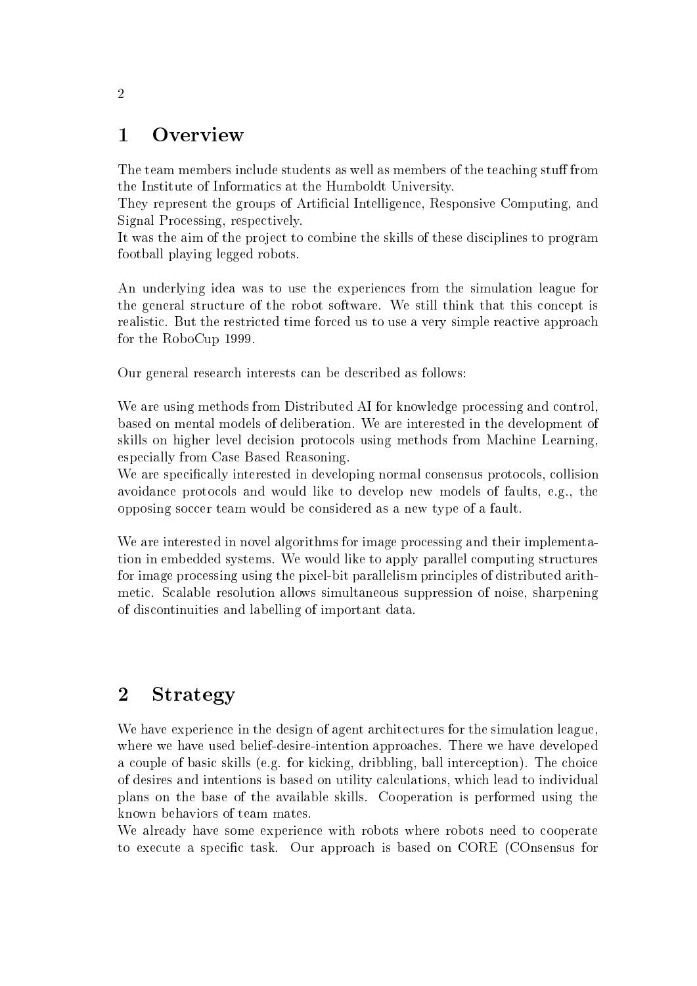### Overview  $\mathbf{1}$

The team members include students as well as members of the teaching stuff from the Institute of Informatics at the Humboldt University.

They represent the groups of Artificial Intelligence, Responsive Computing, and Signal Processing, respectively.

It was the aim of the project to combine the skills of these disciplines to program football playing legged robots.

An underlying idea was to use the experiences from the simulation league for the general structure of the robot software. We still think that this concept is realistic. But the restricted time forced us to use a very simple reactive approach for the RoboCup 1999.

Our general research interests can be described as follows:

We are using methods from Distributed AI for knowledge processing and control based on mental models of deliberation. We are interested in the development of skills on higher level decision protocols using methods from Machine Learning especially from Case Based Reasoning.

We are specifically interested in developing normal consensus protocols, collision avoidance protocols and would like to develop new models of faults, e.g., the opposing soccer team would be considered as a new type of a fault.

We are interested in novel algorithms for image processing and their implementation in embedded systems. We would like to apply parallel computing structures for image processing using the pixel-bit parallelism principles of distributed arithmetic. Scalable resolution allows simultaneous suppression of noise, sharpening of discontinuities and labelling of important data.

### $\overline{2}$ **Strategy**

We have experience in the design of agent architectures for the simulation league, where we have used belief-desire-intention approaches. There we have developed a couple of basic skills (e.g. for kicking, dribbling, ball interception). The choice of desires and intentions is based on utility calculations, which lead to individual plans on the base of the available skills. Cooperation is performed using the known behaviors of team mates.

We already have some experience with robots where robots need to cooperate to execute a specific task. Our approach is based on CORE (COnsensus for

 $\overline{2}$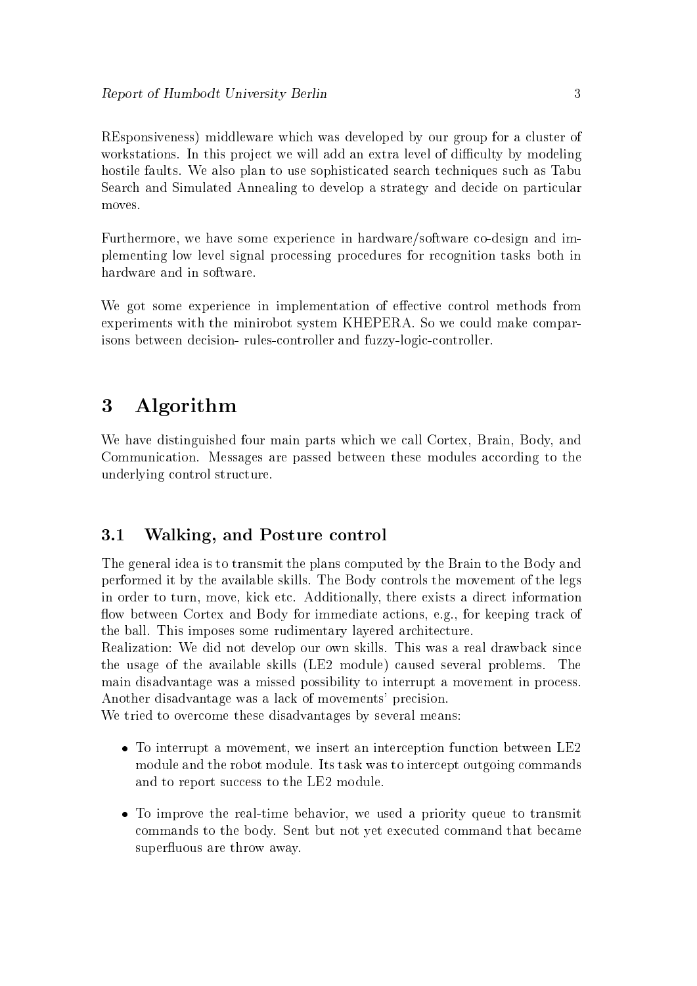REsponsiveness) middleware which was developed by our group for a cluster of workstations. In this project we will add an extra level of difficulty by modeling hostile faults. We also plan to use sophisticated search techniques such as Tabu Search and Simulated Annealing to develop a strategy and decide on particular moves.

Furthermore, we have some experience in hardware/software co-design and implementing low level signal processing procedures for recognition tasks both in hardware and in software.

We got some experience in implementation of effective control methods from experiments with the minirobot system KHEPERA. So we could make comparisons between decision- rules-controller and fuzzy-logic-controller.

### 3 Algorithm

We have distinguished four main parts which we call Cortex, Brain, Body, and Communication. Messages are passed between these modules according to the underlying control structure.

### $3.1$ Walking, and Posture control

The general idea is to transmit the plans computed by the Brain to the Body and performed it by the available skills. The Body controls the movement of the legs in order to turn, move, kick etc. Additionally, there exists a direct information flow between Cortex and Body for immediate actions, e.g., for keeping track of the ball. This imposes some rudimentary layered architecture.

Realization: We did not develop our own skills. This was a real drawback since the usage of the available skills (LE2 module) caused several problems. The main disadvantage was a missed possibility to interrupt a movement in process. Another disadvantage was a lack of movements' precision.

We tried to overcome these disadvantages by several means:

- $\bullet$  To interrupt a movement, we insert an interception function between LE2 module and the robot module. Its task was to intercept outgoing commands and to report success to the LE2 module.
- To improve the real-time behavior, we used a priority queue to transmit commands to the body. Sent but not yet executed command that became superfluous are throw away.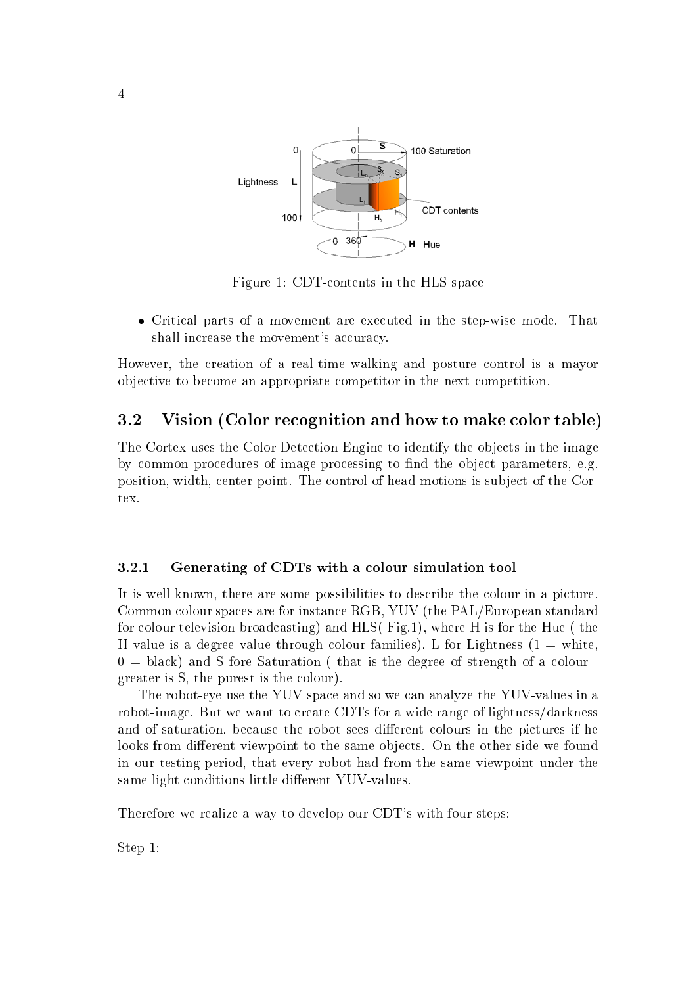

Figure 1: CDT-contents in the HLS space

• Critical parts of a movement are executed in the step-wise mode. That shall increase the movement's accuracy.

However, the creation of a real-time walking and posture control is a mayor objective to become an appropriate competitor in the next competition.

### Vision (Color recognition and how to make color table) 3.2

The Cortex uses the Color Detection Engine to identify the objects in the image by common procedures of image-processing to find the object parameters, e.g. position, width, center-point. The control of head motions is subject of the Cortex.

### $3.2.1$ Generating of CDTs with a colour simulation tool

It is well known, there are some possibilities to describe the colour in a picture. Common colour spaces are for instance RGB, YUV (the PAL/European standard for colour television broadcasting) and HLS(Fig.1), where H is for the Hue (the H value is a degree value through colour families), L for Lightness  $(1 = \text{white},$  $0 =$  black) and S fore Saturation (that is the degree of strength of a colour greater is S, the purest is the colour).

The robot-eye use the YUV space and so we can analyze the YUV-values in a robot-image. But we want to create CDTs for a wide range of lightness/darkness and of saturation, because the robot sees different colours in the pictures if he looks from different viewpoint to the same objects. On the other side we found in our testing-period, that every robot had from the same viewpoint under the same light conditions little different YUV-values.

Therefore we realize a way to develop our CDT's with four steps:

Step  $1$ :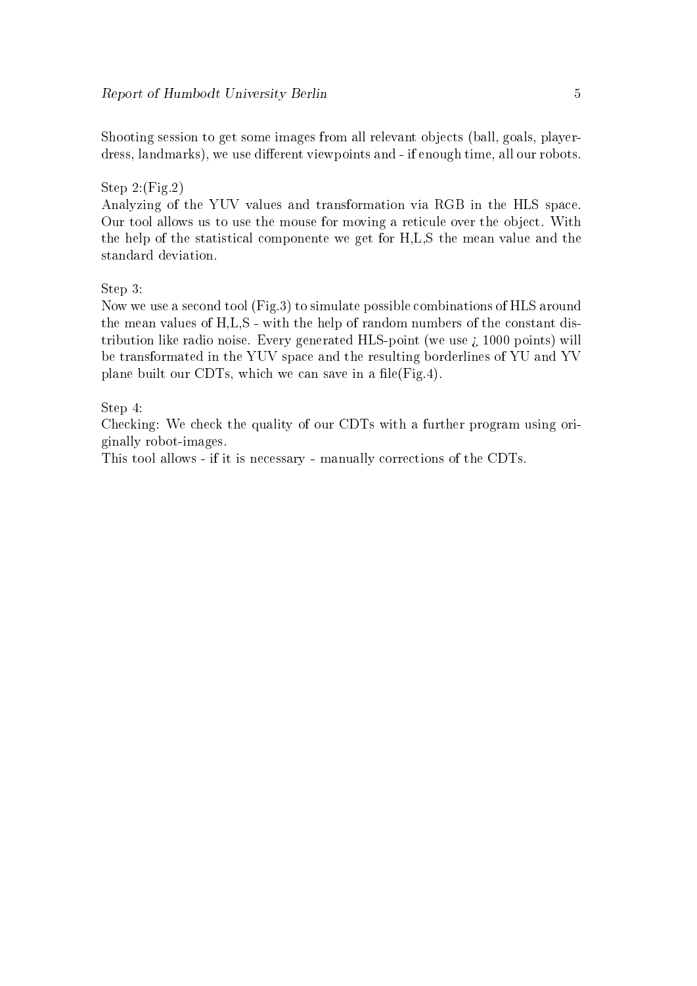Shooting session to get some images from all relevant objects (ball, goals, playerdress, landmarks), we use different viewpoints and - if enough time, all our robots.

### Step  $2$ : (Fig. 2)

Analyzing of the YUV values and transformation via RGB in the HLS space. Our tool allows us to use the mouse for moving a reticule over the object. With the help of the statistical componente we get for H.L.S the mean value and the standard deviation.

### Step 3:

Now we use a second tool (Fig.3) to simulate possible combinations of HLS around the mean values of H,L,S - with the help of random numbers of the constant distribution like radio noise. Every generated HLS-point (we use *i* 1000 points) will be transformated in the YUV space and the resulting borderlines of YU and YV plane built our CDTs, which we can save in a file  $(Fig.4)$ .

### Step 4:

Checking: We check the quality of our CDTs with a further program using originally robot-images.

This tool allows - if it is necessary - manually corrections of the CDTs.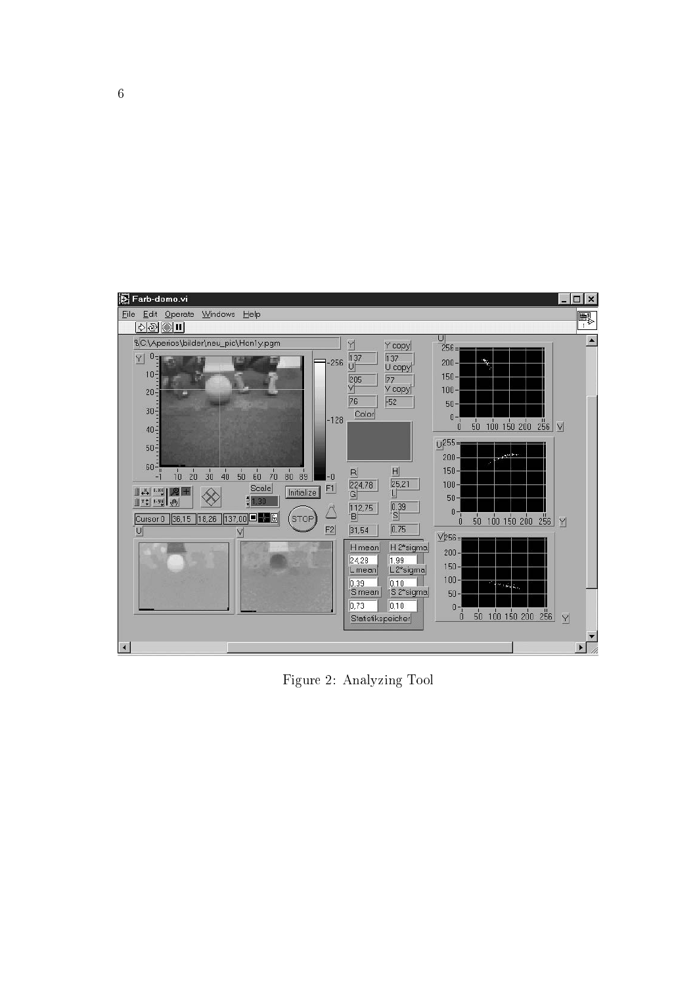

Figure 2: Analyzing Tool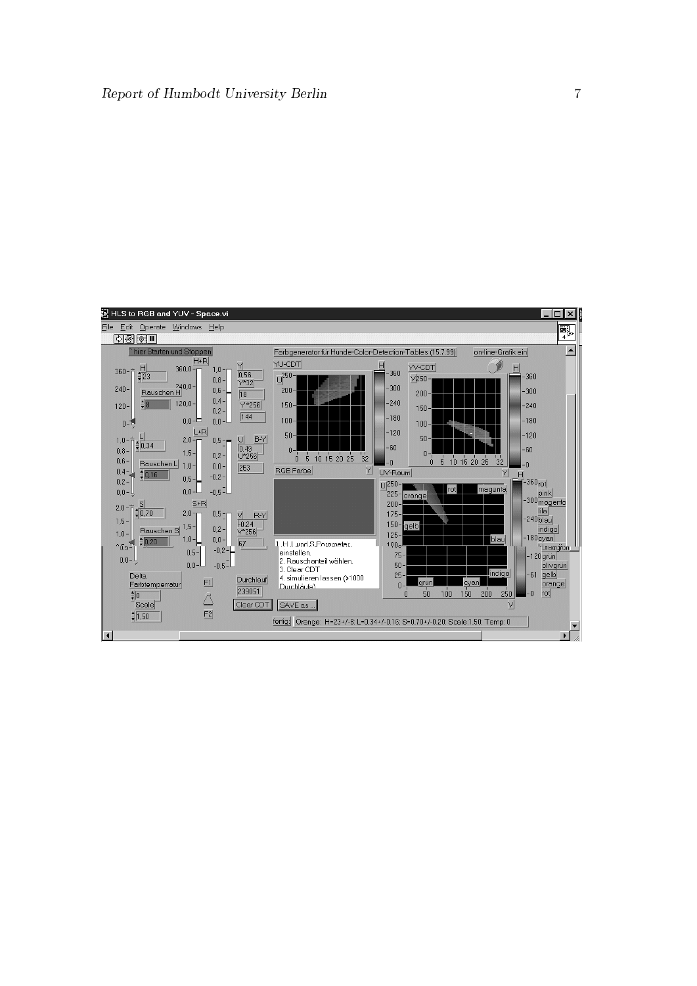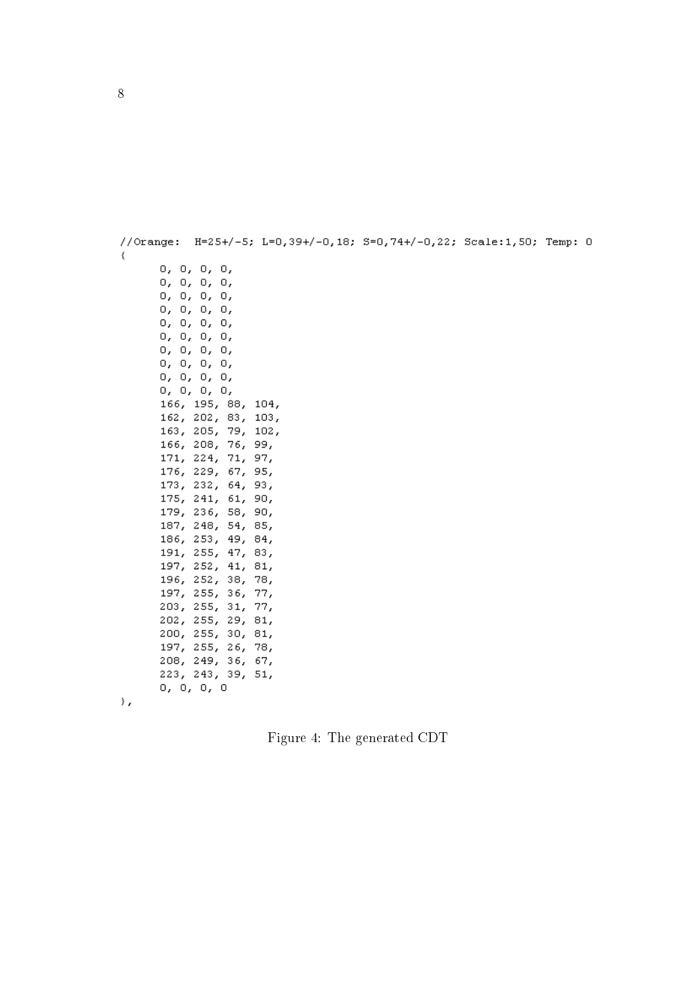```
//Orange: H=25+/-5; L=0,39+/-0,18; S=0,74+/-0,22; Scale:1,50; Temp: 0
x
      0, 0, 0, 0,0, 0, 0, 0,0, 0, 0, 0,0, 0, 0, 0,0, 0, 0, 0,0, 0, 0, 0,0, 0, 0, 0,0, 0, 0, 0,0, 0, 0, 0,0, 0, 0, 0,166, 195, 88, 104,
      162, 202, 83, 103,
      163, 205, 79, 102,
      166, 208, 76, 99,
      171, 224, 71, 97,
      176, 229, 67, 95,
      173, 232, 64, 93,
      175, 241, 61, 90,
      179, 236, 58, 90,
      187, 248, 54, 85,
      186, 253, 49, 84,191, 255, 47, 83,
      197, 252, 41, 81,
      196, 252, 38, 78,
      197, 255, 36, 77,
      203, 255, 31, 77,
      202, 255, 29, 81,
      200, 255, 30, 81,
      197, 255, 26, 78,
      208, 249, 36, 67,
      223, 243, 39, 51,
      0, 0, 0, 0\rangle ,
```
Figure 4: The generated CDT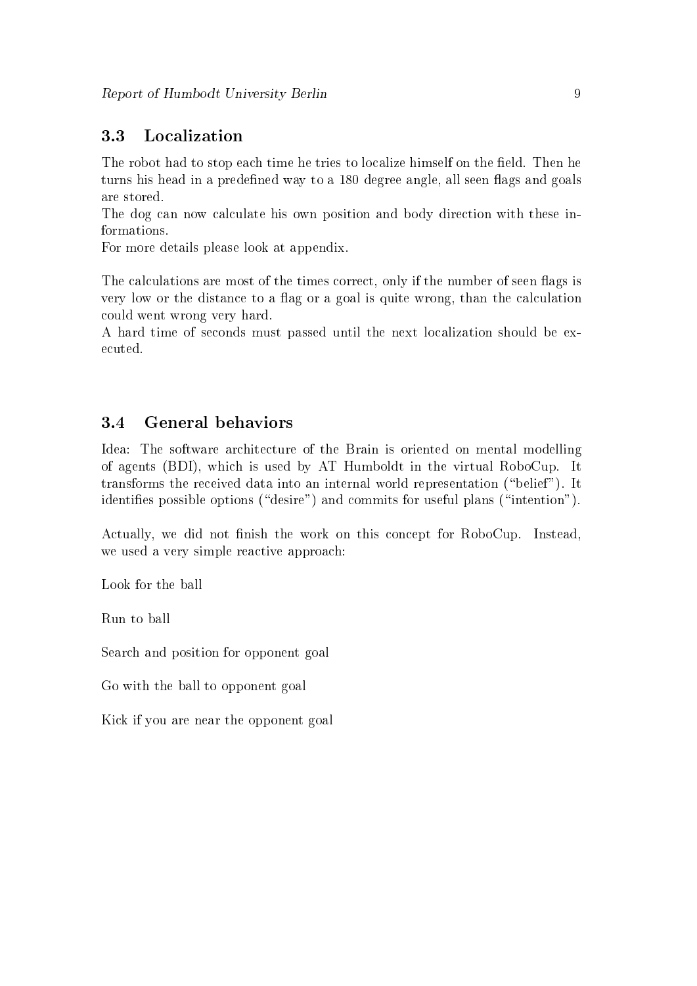### Localization 3.3

The robot had to stop each time he tries to localize himself on the field. Then he turns his head in a predefined way to a 180 degree angle, all seen flags and goals are stored.

The dog can now calculate his own position and body direction with these informations.

For more details please look at appendix.

The calculations are most of the times correct, only if the number of seen flags is very low or the distance to a flag or a goal is quite wrong, than the calculation could went wrong very hard.

A hard time of seconds must passed until the next localization should be executed.

### $3.4$ **General behaviors**

Idea: The software architecture of the Brain is oriented on mental modelling of agents (BDI), which is used by AT Humboldt in the virtual RoboCup. It transforms the received data into an internal world representation ("belief"). It identifies possible options ("desire") and commits for useful plans ("intention").

Actually, we did not finish the work on this concept for RoboCup. Instead, we used a very simple reactive approach:

Look for the ball

Run to ball

Search and position for opponent goal

Go with the ball to opponent goal

Kick if you are near the opponent goal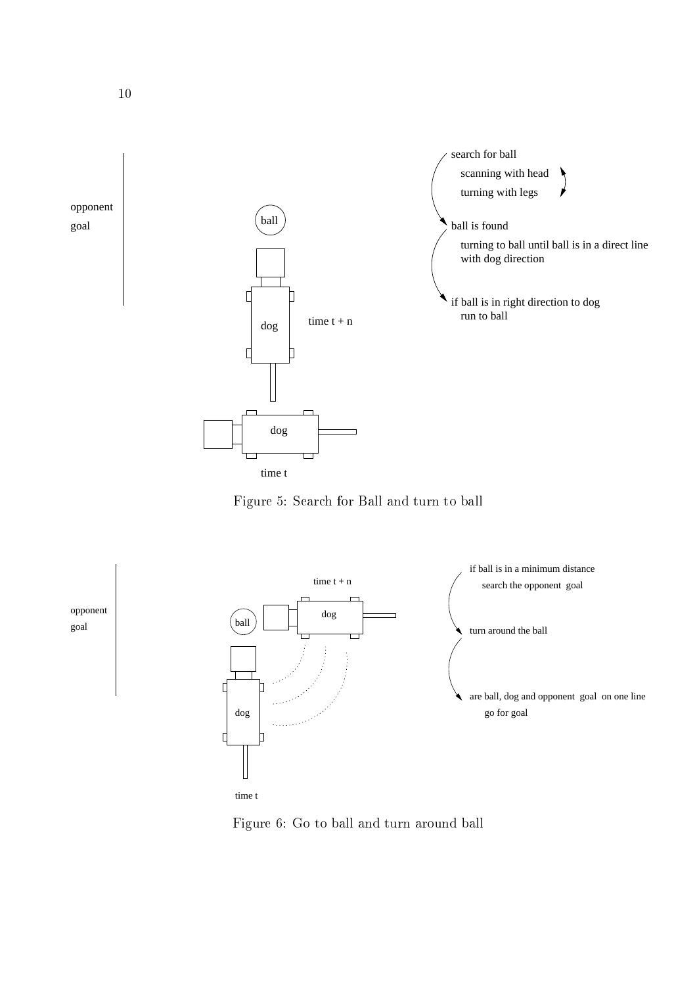

 $\mathbf{B}$  bs of  $\mathbf{B}$  and  $\mathbf{B}$  of  $\mathbf{B}$  of  $\mathbf{B}$  of  $\mathbf{B}$  . In the set of  $\mathbf{B}$  of  $\mathbf{B}$  is the set of  $\mathbf{B}$  of  $\mathbf{B}$  is the set of  $\mathbf{B}$  of  $\mathbf{B}$  is the set of  $\mathbf{B}$  is the set of  $\mathbf$ 



: E5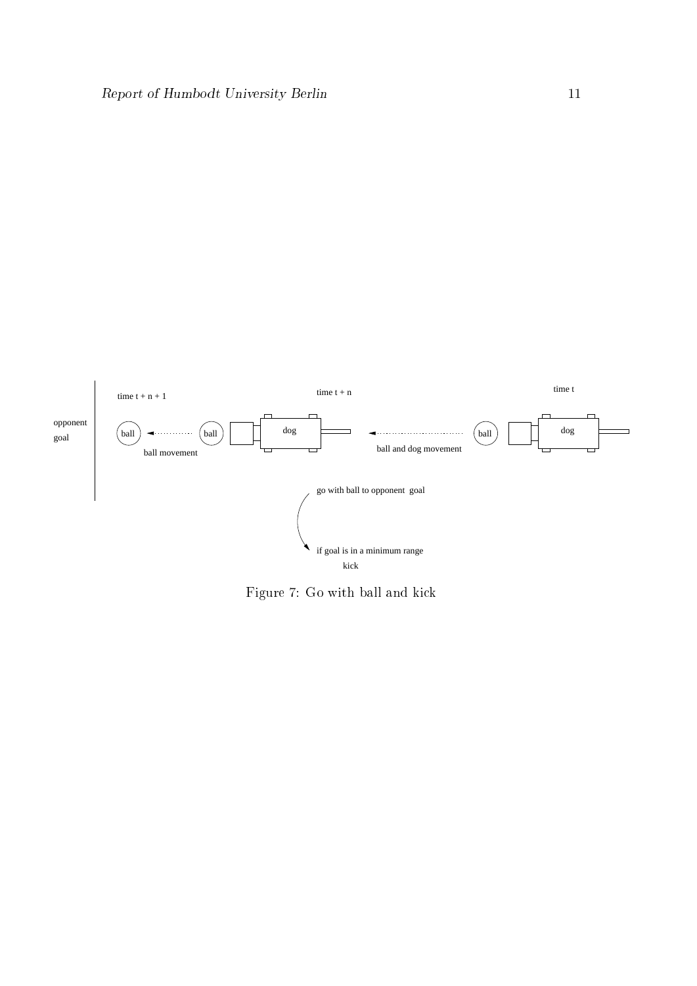

 $\blacksquare$ :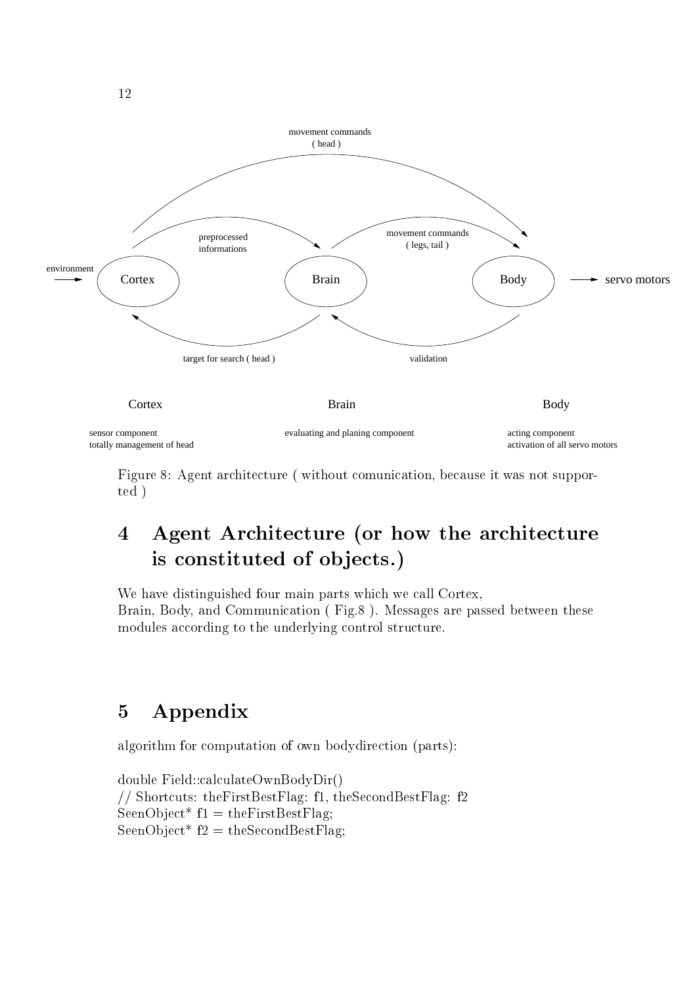

 $\mathbf{G}$  ,  $\mathbf{G}$  ,  $\mathbf{G}$  ,  $\mathbf{G}$  ,  $\mathbf{G}$  ,  $\mathbf{G}$  ,  $\mathbf{G}$  ,  $\mathbf{G}$  ,  $\mathbf{G}$  ,  $\mathbf{G}$  ,  $\mathbf{G}$  ,  $\mathbf{G}$  ,  $\mathbf{G}$  ,  $\mathbf{G}$  ,  $\mathbf{G}$  ,  $\mathbf{G}$  ,  $\mathbf{G}$  ,  $\mathbf{G}$  ,  $\mathbf{G}$  ,  $\mathbf{G}$  , ted)

# - - - - -

 &   , 2  $\mathbf{A} = \mathbf{A} \mathbf{B}$  and  $\mathbf{A} = \mathbf{B} \mathbf{A}$  and  $\mathbf{A} = \mathbf{A} \mathbf{A}$  and  $\mathbf{A} = \mathbf{B} \mathbf{A}$   + -

## 5 Appendix

12

, and the contract of the contract of the contract of the contract of the contract of the contract of the contract of the contract of the contract of the contract of the contract of the contract of the contract of the con

double Field::calculateOwnBodyDir()  $\sim$  0.000 : 0.000 : 0.000 : 0.000 : 0.000 : 0.000 : 0.000 : 0.000 : 0.000 : 0.000 : 0.000 : 0.000 : 0.000 : 0.000 : 0.000 : 0.000 : 0.000 : 0.000 : 0.000 : 0.000 : 0.000 : 0.000 : 0.000 : 0.000 : 0.000 : 0.000 : 0.000 :  $\text{SeenObject* f1} = \text{theFirstBestFlag};$  $\mathcal{L}$  . The original contract of the contract of the contract of the contract of the contract of the contract of the contract of the contract of the contract of the contract of the contract of the contract of the contr